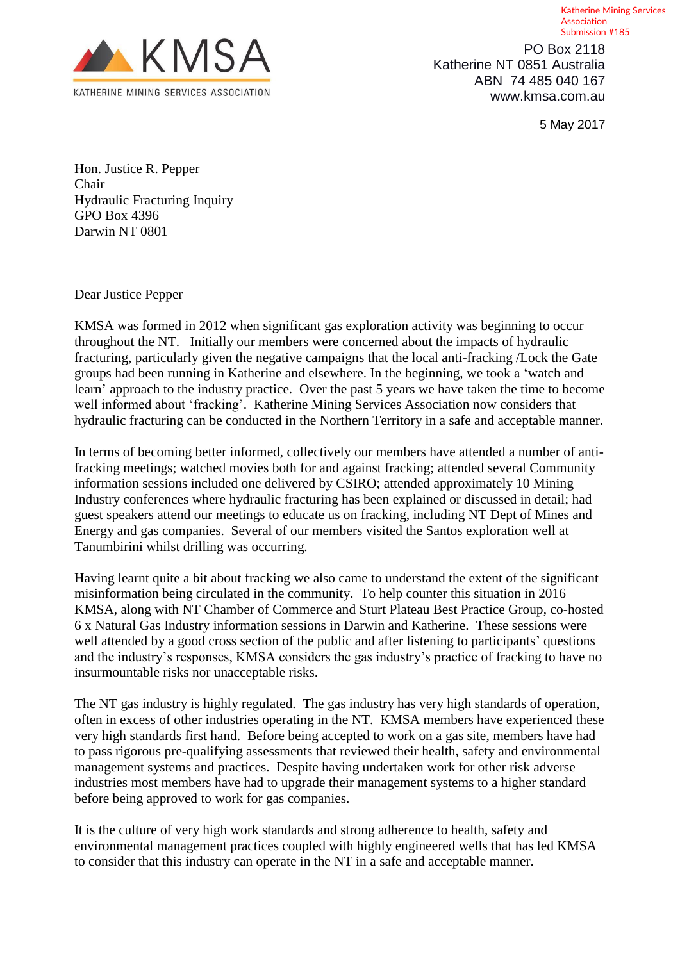

 PO Box 2118 Katherine NT 0851 Australia ABN 74 485 040 167 www.kmsa.com.au

5 May 2017

Association Submission #185

Katherine Mining Services

Hon. Justice R. Pepper Chair Hydraulic Fracturing Inquiry GPO Box 4396 Darwin NT 0801

Dear Justice Pepper

KMSA was formed in 2012 when significant gas exploration activity was beginning to occur throughout the NT. Initially our members were concerned about the impacts of hydraulic fracturing, particularly given the negative campaigns that the local anti-fracking /Lock the Gate groups had been running in Katherine and elsewhere. In the beginning, we took a 'watch and learn' approach to the industry practice. Over the past 5 years we have taken the time to become well informed about 'fracking'. Katherine Mining Services Association now considers that hydraulic fracturing can be conducted in the Northern Territory in a safe and acceptable manner.

In terms of becoming better informed, collectively our members have attended a number of antifracking meetings; watched movies both for and against fracking; attended several Community information sessions included one delivered by CSIRO; attended approximately 10 Mining Industry conferences where hydraulic fracturing has been explained or discussed in detail; had guest speakers attend our meetings to educate us on fracking, including NT Dept of Mines and Energy and gas companies. Several of our members visited the Santos exploration well at Tanumbirini whilst drilling was occurring.

Having learnt quite a bit about fracking we also came to understand the extent of the significant misinformation being circulated in the community. To help counter this situation in 2016 KMSA, along with NT Chamber of Commerce and Sturt Plateau Best Practice Group, co-hosted 6 x Natural Gas Industry information sessions in Darwin and Katherine. These sessions were well attended by a good cross section of the public and after listening to participants' questions and the industry's responses, KMSA considers the gas industry's practice of fracking to have no insurmountable risks nor unacceptable risks.

The NT gas industry is highly regulated. The gas industry has very high standards of operation, often in excess of other industries operating in the NT. KMSA members have experienced these very high standards first hand. Before being accepted to work on a gas site, members have had to pass rigorous pre-qualifying assessments that reviewed their health, safety and environmental management systems and practices. Despite having undertaken work for other risk adverse industries most members have had to upgrade their management systems to a higher standard before being approved to work for gas companies.

It is the culture of very high work standards and strong adherence to health, safety and environmental management practices coupled with highly engineered wells that has led KMSA to consider that this industry can operate in the NT in a safe and acceptable manner.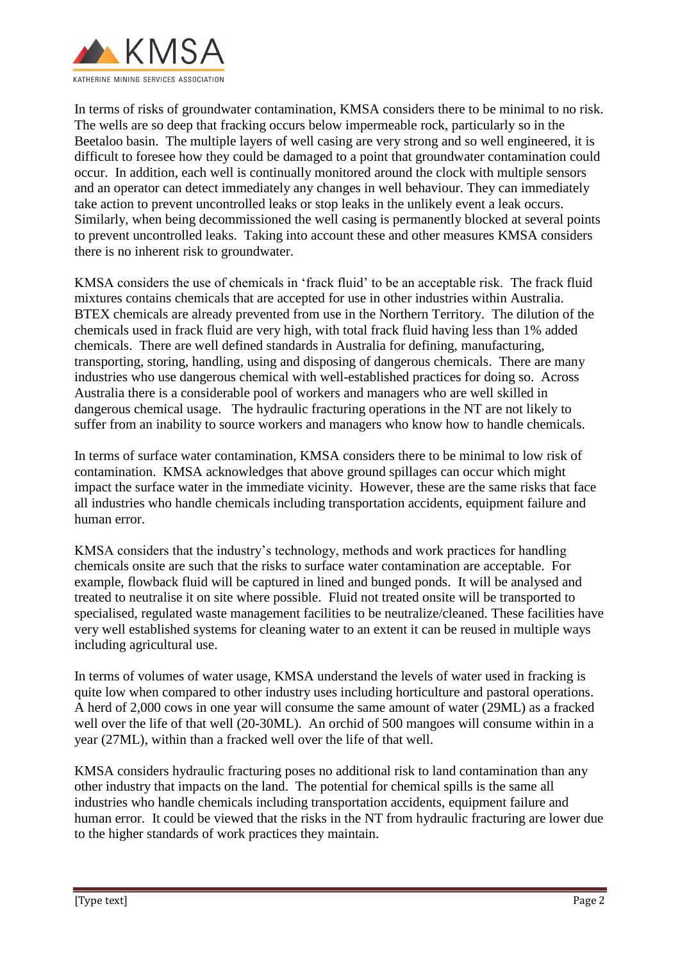

In terms of risks of groundwater contamination, KMSA considers there to be minimal to no risk. The wells are so deep that fracking occurs below impermeable rock, particularly so in the Beetaloo basin. The multiple layers of well casing are very strong and so well engineered, it is difficult to foresee how they could be damaged to a point that groundwater contamination could occur. In addition, each well is continually monitored around the clock with multiple sensors and an operator can detect immediately any changes in well behaviour. They can immediately take action to prevent uncontrolled leaks or stop leaks in the unlikely event a leak occurs. Similarly, when being decommissioned the well casing is permanently blocked at several points to prevent uncontrolled leaks. Taking into account these and other measures KMSA considers there is no inherent risk to groundwater.

KMSA considers the use of chemicals in 'frack fluid' to be an acceptable risk. The frack fluid mixtures contains chemicals that are accepted for use in other industries within Australia. BTEX chemicals are already prevented from use in the Northern Territory. The dilution of the chemicals used in frack fluid are very high, with total frack fluid having less than 1% added chemicals. There are well defined standards in Australia for defining, manufacturing, transporting, storing, handling, using and disposing of dangerous chemicals. There are many industries who use dangerous chemical with well-established practices for doing so. Across Australia there is a considerable pool of workers and managers who are well skilled in dangerous chemical usage. The hydraulic fracturing operations in the NT are not likely to suffer from an inability to source workers and managers who know how to handle chemicals.

In terms of surface water contamination, KMSA considers there to be minimal to low risk of contamination. KMSA acknowledges that above ground spillages can occur which might impact the surface water in the immediate vicinity. However, these are the same risks that face all industries who handle chemicals including transportation accidents, equipment failure and human error.

KMSA considers that the industry's technology, methods and work practices for handling chemicals onsite are such that the risks to surface water contamination are acceptable. For example, flowback fluid will be captured in lined and bunged ponds. It will be analysed and treated to neutralise it on site where possible. Fluid not treated onsite will be transported to specialised, regulated waste management facilities to be neutralize/cleaned. These facilities have very well established systems for cleaning water to an extent it can be reused in multiple ways including agricultural use.

In terms of volumes of water usage, KMSA understand the levels of water used in fracking is quite low when compared to other industry uses including horticulture and pastoral operations. A herd of 2,000 cows in one year will consume the same amount of water (29ML) as a fracked well over the life of that well (20-30ML). An orchid of 500 mangoes will consume within in a year (27ML), within than a fracked well over the life of that well.

KMSA considers hydraulic fracturing poses no additional risk to land contamination than any other industry that impacts on the land. The potential for chemical spills is the same all industries who handle chemicals including transportation accidents, equipment failure and human error. It could be viewed that the risks in the NT from hydraulic fracturing are lower due to the higher standards of work practices they maintain.